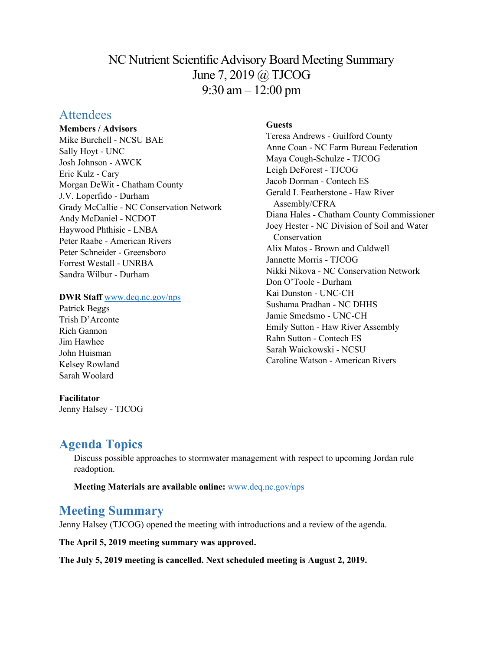## NC Nutrient Scientific Advisory Board Meeting Summary June 7, 2019 @ TJCOG 9:30 am – 12:00 pm

## **Attendees**

### **Members / Advisors**

Mike Burchell - NCSU BAE Sally Hoyt - UNC Josh Johnson - AWCK Eric Kulz - Cary Morgan DeWit - Chatham County J.V. Loperfido - Durham Grady McCallie - NC Conservation Network Andy McDaniel - NCDOT Haywood Phthisic - LNBA Peter Raabe - American Rivers Peter Schneider - Greensboro Forrest Westall - UNRBA Sandra Wilbur - Durham

### **DWR Staff** [www.deq.nc.gov/nps](http://www.deq.nc.gov/nps)

Patrick Beggs Trish D'Arconte Rich Gannon Jim Hawhee John Huisman Kelsey Rowland Sarah Woolard

#### **Facilitator** Jenny Halsey - TJCOG

**Guests**

Teresa Andrews - Guilford County Anne Coan - NC Farm Bureau Federation Maya Cough-Schulze - TJCOG Leigh DeForest - TJCOG Jacob Dorman - Contech ES Gerald L Featherstone - Haw River Assembly/CFRA Diana Hales - Chatham County Commissioner Joey Hester - NC Division of Soil and Water Conservation Alix Matos - Brown and Caldwell Jannette Morris - TJCOG Nikki Nikova - NC Conservation Network Don O'Toole - Durham Kai Dunston - UNC-CH Sushama Pradhan - NC DHHS Jamie Smedsmo - UNC-CH Emily Sutton - Haw River Assembly Rahn Sutton - Contech ES Sarah Waickowski - NCSU Caroline Watson - American Rivers

# **Agenda Topics**

Discuss possible approaches to stormwater management with respect to upcoming Jordan rule readoption.

**Meeting Materials are available online:** [www.deq.nc.gov/nps](https://deq.nc.gov/about/divisions/water-resources/planning/nonpoint-source-management/nutrient-scientific-advisory-board/meeting-documents)

## **Meeting Summary**

Jenny Halsey (TJCOG) opened the meeting with introductions and a review of the agenda.

**The April 5, 2019 meeting summary was approved.**

**The July 5, 2019 meeting is cancelled. Next scheduled meeting is August 2, 2019.**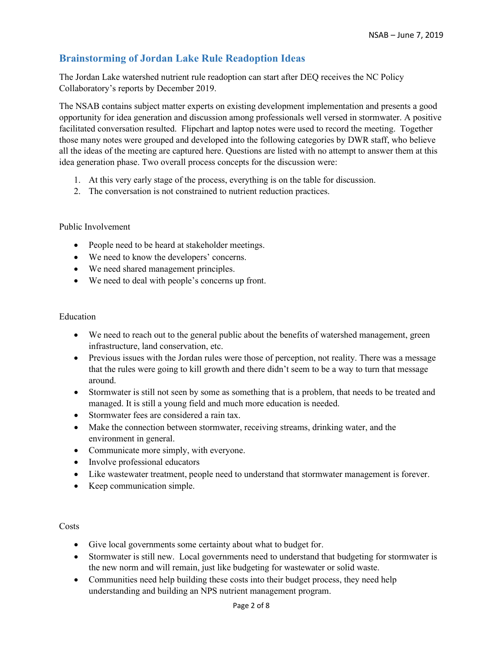## **Brainstorming of Jordan Lake Rule Readoption Ideas**

The Jordan Lake watershed nutrient rule readoption can start after DEQ receives the NC Policy Collaboratory's reports by December 2019.

The NSAB contains subject matter experts on existing development implementation and presents a good opportunity for idea generation and discussion among professionals well versed in stormwater. A positive facilitated conversation resulted. Flipchart and laptop notes were used to record the meeting. Together those many notes were grouped and developed into the following categories by DWR staff, who believe all the ideas of the meeting are captured here. Questions are listed with no attempt to answer them at this idea generation phase. Two overall process concepts for the discussion were:

- 1. At this very early stage of the process, everything is on the table for discussion.
- 2. The conversation is not constrained to nutrient reduction practices.

#### Public Involvement

- People need to be heard at stakeholder meetings.
- We need to know the developers' concerns.
- We need shared management principles.
- We need to deal with people's concerns up front.

#### Education

- We need to reach out to the general public about the benefits of watershed management, green infrastructure, land conservation, etc.
- Previous issues with the Jordan rules were those of perception, not reality. There was a message that the rules were going to kill growth and there didn't seem to be a way to turn that message around.
- Stormwater is still not seen by some as something that is a problem, that needs to be treated and managed. It is still a young field and much more education is needed.
- Stormwater fees are considered a rain tax.
- Make the connection between stormwater, receiving streams, drinking water, and the environment in general.
- Communicate more simply, with everyone.
- Involve professional educators
- Like wastewater treatment, people need to understand that stormwater management is forever.
- Keep communication simple.

#### Costs

- Give local governments some certainty about what to budget for.
- Stormwater is still new. Local governments need to understand that budgeting for stormwater is the new norm and will remain, just like budgeting for wastewater or solid waste.
- Communities need help building these costs into their budget process, they need help understanding and building an NPS nutrient management program.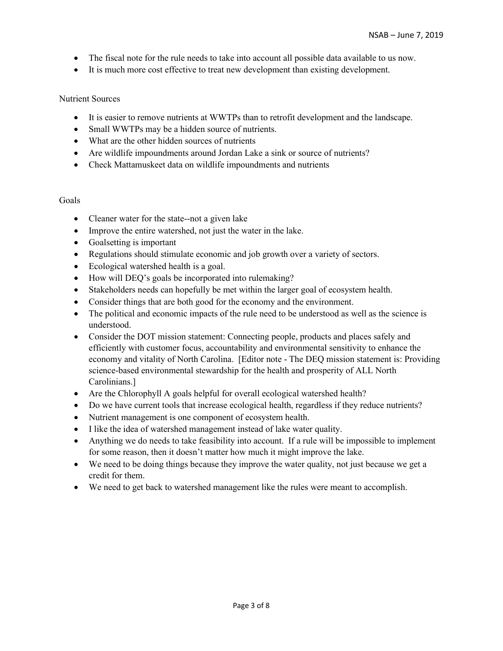- The fiscal note for the rule needs to take into account all possible data available to us now.
- It is much more cost effective to treat new development than existing development.

#### Nutrient Sources

- It is easier to remove nutrients at WWTPs than to retrofit development and the landscape.
- Small WWTPs may be a hidden source of nutrients.
- What are the other hidden sources of nutrients
- Are wildlife impoundments around Jordan Lake a sink or source of nutrients?
- Check Mattamuskeet data on wildlife impoundments and nutrients

#### Goals

- Cleaner water for the state--not a given lake
- Improve the entire watershed, not just the water in the lake.
- Goalsetting is important
- Regulations should stimulate economic and job growth over a variety of sectors.
- Ecological watershed health is a goal.
- How will DEQ's goals be incorporated into rulemaking?
- Stakeholders needs can hopefully be met within the larger goal of ecosystem health.
- Consider things that are both good for the economy and the environment.
- The political and economic impacts of the rule need to be understood as well as the science is understood.
- Consider the DOT mission statement: Connecting people, products and places safely and efficiently with customer focus, accountability and environmental sensitivity to enhance the economy and vitality of North Carolina. [Editor note - The DEQ mission statement is: Providing science-based environmental stewardship for the health and prosperity of ALL North Carolinians.]
- Are the Chlorophyll A goals helpful for overall ecological watershed health?
- Do we have current tools that increase ecological health, regardless if they reduce nutrients?
- Nutrient management is one component of ecosystem health.
- I like the idea of watershed management instead of lake water quality.
- Anything we do needs to take feasibility into account. If a rule will be impossible to implement for some reason, then it doesn't matter how much it might improve the lake.
- We need to be doing things because they improve the water quality, not just because we get a credit for them.
- We need to get back to watershed management like the rules were meant to accomplish.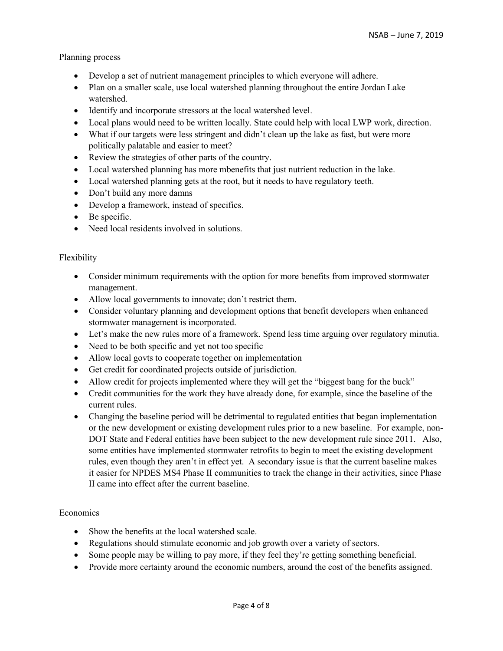### Planning process

- Develop a set of nutrient management principles to which everyone will adhere.
- Plan on a smaller scale, use local watershed planning throughout the entire Jordan Lake watershed.
- Identify and incorporate stressors at the local watershed level.
- Local plans would need to be written locally. State could help with local LWP work, direction.
- What if our targets were less stringent and didn't clean up the lake as fast, but were more politically palatable and easier to meet?
- Review the strategies of other parts of the country.
- Local watershed planning has more mbenefits that just nutrient reduction in the lake.
- Local watershed planning gets at the root, but it needs to have regulatory teeth.
- Don't build any more damns
- Develop a framework, instead of specifics.
- Be specific.
- Need local residents involved in solutions.

## Flexibility

- Consider minimum requirements with the option for more benefits from improved stormwater management.
- Allow local governments to innovate; don't restrict them.
- Consider voluntary planning and development options that benefit developers when enhanced stormwater management is incorporated.
- Let's make the new rules more of a framework. Spend less time arguing over regulatory minutia.
- Need to be both specific and yet not too specific
- Allow local govts to cooperate together on implementation
- Get credit for coordinated projects outside of jurisdiction.
- Allow credit for projects implemented where they will get the "biggest bang for the buck"
- Credit communities for the work they have already done, for example, since the baseline of the current rules.
- Changing the baseline period will be detrimental to regulated entities that began implementation or the new development or existing development rules prior to a new baseline. For example, non-DOT State and Federal entities have been subject to the new development rule since 2011. Also, some entities have implemented stormwater retrofits to begin to meet the existing development rules, even though they aren't in effect yet. A secondary issue is that the current baseline makes it easier for NPDES MS4 Phase II communities to track the change in their activities, since Phase II came into effect after the current baseline.

## **Economics**

- Show the benefits at the local watershed scale.
- Regulations should stimulate economic and job growth over a variety of sectors.
- Some people may be willing to pay more, if they feel they're getting something beneficial.
- Provide more certainty around the economic numbers, around the cost of the benefits assigned.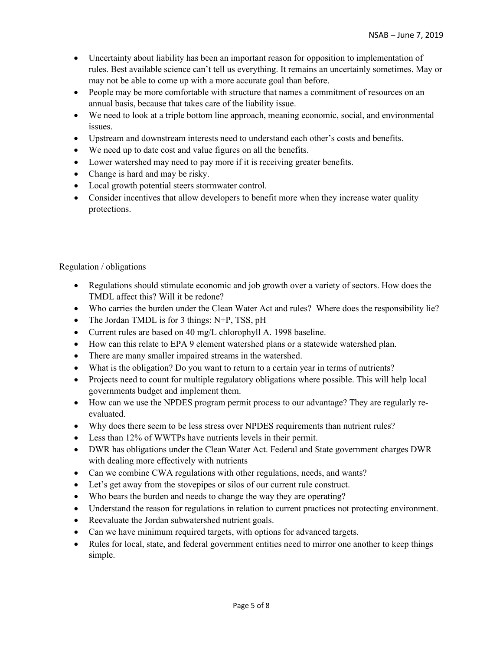- Uncertainty about liability has been an important reason for opposition to implementation of rules. Best available science can't tell us everything. It remains an uncertainly sometimes. May or may not be able to come up with a more accurate goal than before.
- People may be more comfortable with structure that names a commitment of resources on an annual basis, because that takes care of the liability issue.
- We need to look at a triple bottom line approach, meaning economic, social, and environmental issues.
- Upstream and downstream interests need to understand each other's costs and benefits.
- We need up to date cost and value figures on all the benefits.
- Lower watershed may need to pay more if it is receiving greater benefits.
- Change is hard and may be risky.
- Local growth potential steers stormwater control.
- Consider incentives that allow developers to benefit more when they increase water quality protections.

## Regulation / obligations

- Regulations should stimulate economic and job growth over a variety of sectors. How does the TMDL affect this? Will it be redone?
- Who carries the burden under the Clean Water Act and rules? Where does the responsibility lie?
- The Jordan TMDL is for 3 things: N+P, TSS, pH
- Current rules are based on 40 mg/L chlorophyll A. 1998 baseline.
- How can this relate to EPA 9 element watershed plans or a statewide watershed plan.
- There are many smaller impaired streams in the watershed.
- What is the obligation? Do you want to return to a certain year in terms of nutrients?
- Projects need to count for multiple regulatory obligations where possible. This will help local governments budget and implement them.
- How can we use the NPDES program permit process to our advantage? They are regularly reevaluated.
- Why does there seem to be less stress over NPDES requirements than nutrient rules?
- Less than 12% of WWTPs have nutrients levels in their permit.
- DWR has obligations under the Clean Water Act. Federal and State government charges DWR with dealing more effectively with nutrients
- Can we combine CWA regulations with other regulations, needs, and wants?
- Let's get away from the stovepipes or silos of our current rule construct.
- Who bears the burden and needs to change the way they are operating?
- Understand the reason for regulations in relation to current practices not protecting environment.
- Reevaluate the Jordan subwatershed nutrient goals.
- Can we have minimum required targets, with options for advanced targets.
- Rules for local, state, and federal government entities need to mirror one another to keep things simple.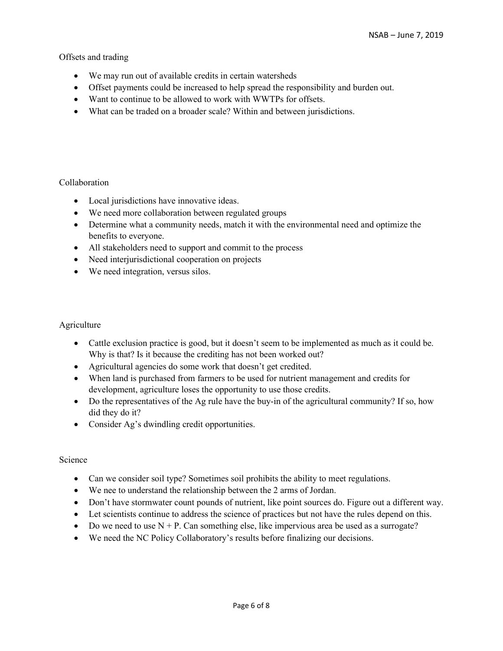Offsets and trading

- We may run out of available credits in certain watersheds
- Offset payments could be increased to help spread the responsibility and burden out.
- Want to continue to be allowed to work with WWTPs for offsets.
- What can be traded on a broader scale? Within and between jurisdictions.

#### Collaboration

- Local jurisdictions have innovative ideas.
- We need more collaboration between regulated groups
- Determine what a community needs, match it with the environmental need and optimize the benefits to everyone.
- All stakeholders need to support and commit to the process
- Need interjurisdictional cooperation on projects
- We need integration, versus silos.

#### **Agriculture**

- Cattle exclusion practice is good, but it doesn't seem to be implemented as much as it could be. Why is that? Is it because the crediting has not been worked out?
- Agricultural agencies do some work that doesn't get credited.
- When land is purchased from farmers to be used for nutrient management and credits for development, agriculture loses the opportunity to use those credits.
- Do the representatives of the Ag rule have the buy-in of the agricultural community? If so, how did they do it?
- Consider Ag's dwindling credit opportunities.

#### Science

- Can we consider soil type? Sometimes soil prohibits the ability to meet regulations.
- We nee to understand the relationship between the 2 arms of Jordan.
- Don't have stormwater count pounds of nutrient, like point sources do. Figure out a different way.
- Let scientists continue to address the science of practices but not have the rules depend on this.
- Do we need to use  $N + P$ . Can something else, like impervious area be used as a surrogate?
- We need the NC Policy Collaboratory's results before finalizing our decisions.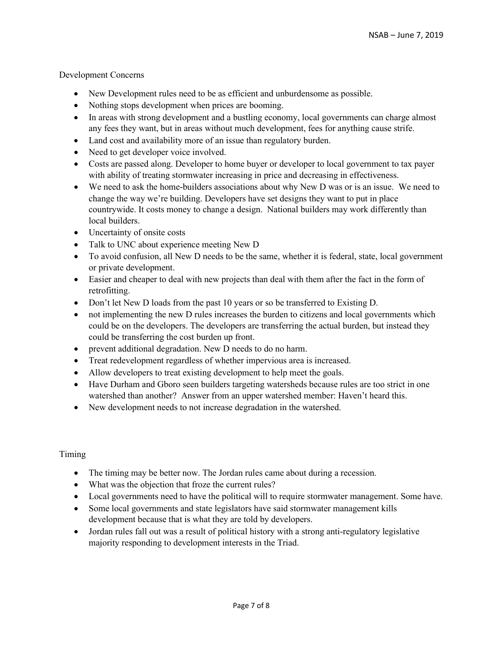### Development Concerns

- New Development rules need to be as efficient and unburdensome as possible.
- Nothing stops development when prices are booming.
- In areas with strong development and a bustling economy, local governments can charge almost any fees they want, but in areas without much development, fees for anything cause strife.
- Land cost and availability more of an issue than regulatory burden.
- Need to get developer voice involved.
- Costs are passed along. Developer to home buyer or developer to local government to tax payer with ability of treating stormwater increasing in price and decreasing in effectiveness.
- We need to ask the home-builders associations about why New D was or is an issue. We need to change the way we're building. Developers have set designs they want to put in place countrywide. It costs money to change a design. National builders may work differently than local builders.
- Uncertainty of onsite costs
- Talk to UNC about experience meeting New D
- To avoid confusion, all New D needs to be the same, whether it is federal, state, local government or private development.
- Easier and cheaper to deal with new projects than deal with them after the fact in the form of retrofitting.
- Don't let New D loads from the past 10 years or so be transferred to Existing D.
- not implementing the new D rules increases the burden to citizens and local governments which could be on the developers. The developers are transferring the actual burden, but instead they could be transferring the cost burden up front.
- prevent additional degradation. New D needs to do no harm.
- Treat redevelopment regardless of whether impervious area is increased.
- Allow developers to treat existing development to help meet the goals.
- Have Durham and Gboro seen builders targeting watersheds because rules are too strict in one watershed than another? Answer from an upper watershed member: Haven't heard this.
- New development needs to not increase degradation in the watershed.

Timing

- The timing may be better now. The Jordan rules came about during a recession.
- What was the objection that froze the current rules?
- Local governments need to have the political will to require stormwater management. Some have.
- Some local governments and state legislators have said stormwater management kills development because that is what they are told by developers.
- Jordan rules fall out was a result of political history with a strong anti-regulatory legislative majority responding to development interests in the Triad.